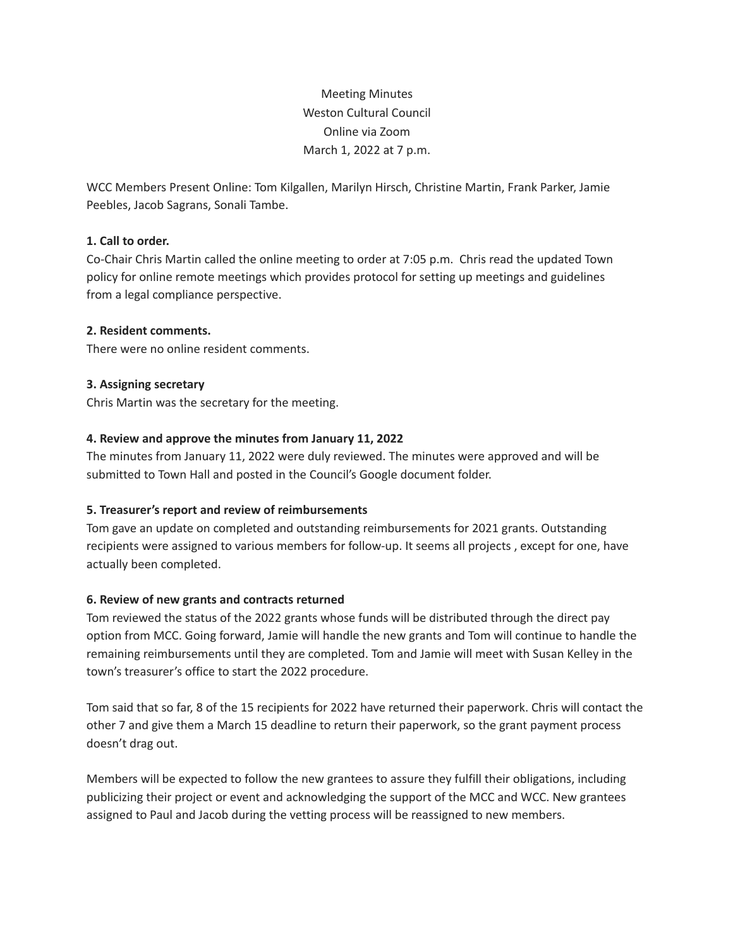Meeting Minutes Weston Cultural Council Online via Zoom March 1, 2022 at 7 p.m.

WCC Members Present Online: Tom Kilgallen, Marilyn Hirsch, Christine Martin, Frank Parker, Jamie Peebles, Jacob Sagrans, Sonali Tambe.

# **1. Call to order.**

Co-Chair Chris Martin called the online meeting to order at 7:05 p.m. Chris read the updated Town policy for online remote meetings which provides protocol for setting up meetings and guidelines from a legal compliance perspective.

# **2. Resident comments.**

There were no online resident comments.

# **3. Assigning secretary**

Chris Martin was the secretary for the meeting.

# **4. Review and approve the minutes from January 11, 2022**

The minutes from January 11, 2022 were duly reviewed. The minutes were approved and will be submitted to Town Hall and posted in the Council's Google document folder.

## **5. Treasurer's report and review of reimbursements**

Tom gave an update on completed and outstanding reimbursements for 2021 grants. Outstanding recipients were assigned to various members for follow-up. It seems all projects , except for one, have actually been completed.

# **6. Review of new grants and contracts returned**

Tom reviewed the status of the 2022 grants whose funds will be distributed through the direct pay option from MCC. Going forward, Jamie will handle the new grants and Tom will continue to handle the remaining reimbursements until they are completed. Tom and Jamie will meet with Susan Kelley in the town's treasurer's office to start the 2022 procedure.

Tom said that so far, 8 of the 15 recipients for 2022 have returned their paperwork. Chris will contact the other 7 and give them a March 15 deadline to return their paperwork, so the grant payment process doesn't drag out.

Members will be expected to follow the new grantees to assure they fulfill their obligations, including publicizing their project or event and acknowledging the support of the MCC and WCC. New grantees assigned to Paul and Jacob during the vetting process will be reassigned to new members.